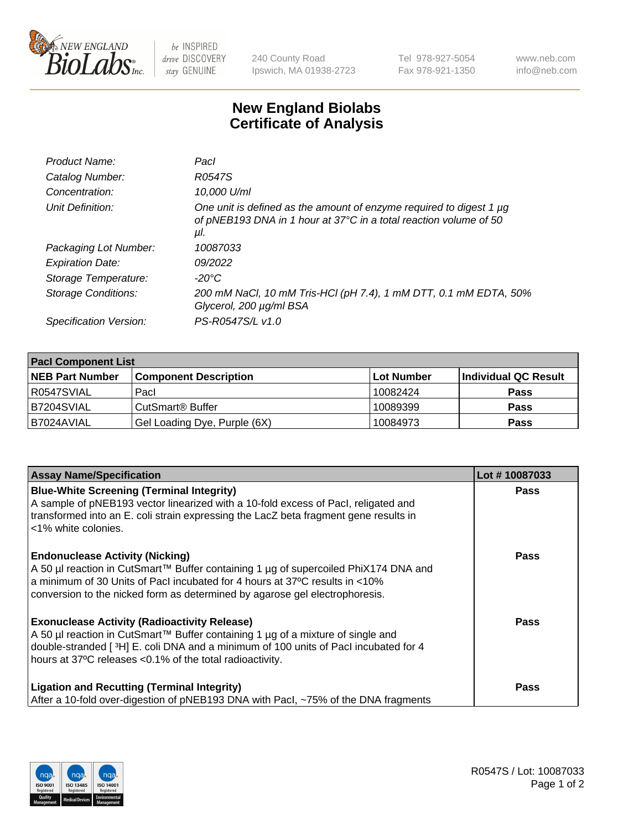

 $be$  INSPIRED drive DISCOVERY stay GENUINE

240 County Road Ipswich, MA 01938-2723 Tel 978-927-5054 Fax 978-921-1350 www.neb.com info@neb.com

## **New England Biolabs Certificate of Analysis**

| Product Name:           | Pacl                                                                                                                                            |
|-------------------------|-------------------------------------------------------------------------------------------------------------------------------------------------|
| Catalog Number:         | R0547S                                                                                                                                          |
| Concentration:          | 10,000 U/ml                                                                                                                                     |
| Unit Definition:        | One unit is defined as the amount of enzyme required to digest 1 µg<br>of pNEB193 DNA in 1 hour at 37°C in a total reaction volume of 50<br>μl. |
| Packaging Lot Number:   | 10087033                                                                                                                                        |
| <b>Expiration Date:</b> | 09/2022                                                                                                                                         |
| Storage Temperature:    | $-20^{\circ}$ C                                                                                                                                 |
| Storage Conditions:     | 200 mM NaCl, 10 mM Tris-HCl (pH 7.4), 1 mM DTT, 0.1 mM EDTA, 50%<br>Glycerol, 200 µg/ml BSA                                                     |
| Specification Version:  | PS-R0547S/L v1.0                                                                                                                                |

| <b>Pacl Component List</b> |                              |             |                      |  |  |
|----------------------------|------------------------------|-------------|----------------------|--|--|
| <b>NEB Part Number</b>     | <b>Component Description</b> | ∣Lot Number | Individual QC Result |  |  |
| R0547SVIAL                 | Pacl                         | 10082424    | <b>Pass</b>          |  |  |
| B7204SVIAL                 | CutSmart® Buffer             | 10089399    | <b>Pass</b>          |  |  |
| B7024AVIAL                 | Gel Loading Dye, Purple (6X) | 10084973    | <b>Pass</b>          |  |  |

| <b>Assay Name/Specification</b>                                                                                                                                                                                                                                                             | Lot #10087033 |
|---------------------------------------------------------------------------------------------------------------------------------------------------------------------------------------------------------------------------------------------------------------------------------------------|---------------|
| <b>Blue-White Screening (Terminal Integrity)</b><br>A sample of pNEB193 vector linearized with a 10-fold excess of Pacl, religated and<br>transformed into an E. coli strain expressing the LacZ beta fragment gene results in<br>l <1% white colonies.                                     | <b>Pass</b>   |
| <b>Endonuclease Activity (Nicking)</b><br>A 50 µl reaction in CutSmart™ Buffer containing 1 µg of supercoiled PhiX174 DNA and<br>a minimum of 30 Units of Pacl incubated for 4 hours at 37°C results in <10%<br>conversion to the nicked form as determined by agarose gel electrophoresis. | Pass          |
| <b>Exonuclease Activity (Radioactivity Release)</b><br>  A 50 µl reaction in CutSmart™ Buffer containing 1 µg of a mixture of single and<br>double-stranded [3H] E. coli DNA and a minimum of 100 units of Pacl incubated for 4<br>hours at 37°C releases <0.1% of the total radioactivity. | <b>Pass</b>   |
| <b>Ligation and Recutting (Terminal Integrity)</b><br>After a 10-fold over-digestion of pNEB193 DNA with Pacl, ~75% of the DNA fragments                                                                                                                                                    | Pass          |